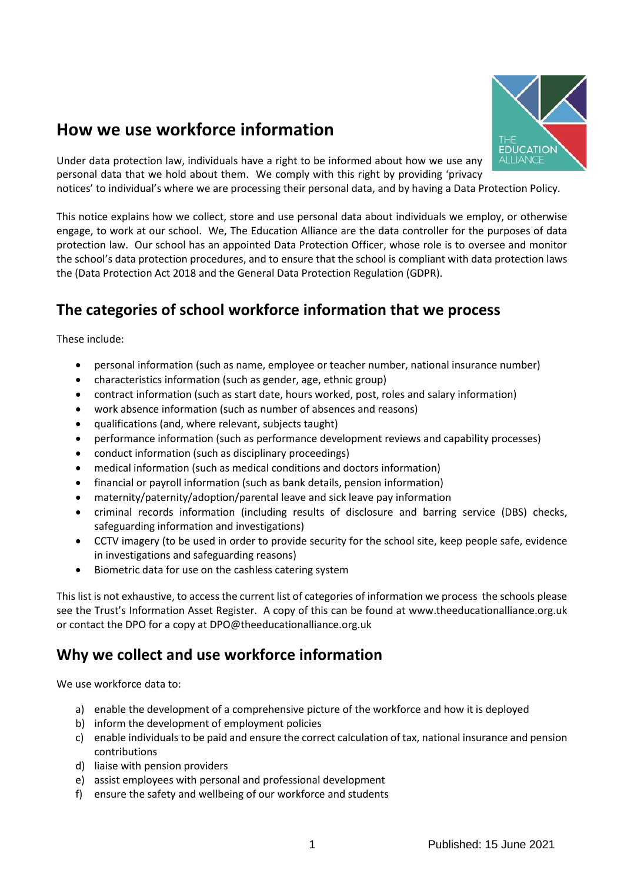# **How we use workforce information**



Under data protection law, individuals have a right to be informed about how we use any personal data that we hold about them. We comply with this right by providing 'privacy

notices' to individual's where we are processing their personal data, and by having a Data Protection Policy.

This notice explains how we collect, store and use personal data about individuals we employ, or otherwise engage, to work at our school. We, The Education Alliance are the data controller for the purposes of data protection law. Our school has an appointed Data Protection Officer, whose role is to oversee and monitor the school's data protection procedures, and to ensure that the school is compliant with data protection laws the (Data Protection Act 2018 and the General Data Protection Regulation (GDPR).

## **The categories of school workforce information that we process**

These include:

- personal information (such as name, employee or teacher number, national insurance number)
- characteristics information (such as gender, age, ethnic group)
- contract information (such as start date, hours worked, post, roles and salary information)
- work absence information (such as number of absences and reasons)
- qualifications (and, where relevant, subjects taught)
- performance information (such as performance development reviews and capability processes)
- conduct information (such as disciplinary proceedings)
- medical information (such as medical conditions and doctors information)
- financial or payroll information (such as bank details, pension information)
- maternity/paternity/adoption/parental leave and sick leave pay information
- criminal records information (including results of disclosure and barring service (DBS) checks, safeguarding information and investigations)
- CCTV imagery (to be used in order to provide security for the school site, keep people safe, evidence in investigations and safeguarding reasons)
- Biometric data for use on the cashless catering system

This list is not exhaustive, to access the current list of categories of information we process the schools please see the Trust's Information Asset Register. A copy of this can be found at www.theeducationalliance.org.uk or contact the DPO for a copy at DPO@theeducationalliance.org.uk

## **Why we collect and use workforce information**

We use workforce data to:

- a) enable the development of a comprehensive picture of the workforce and how it is deployed
- b) inform the development of employment policies
- c) enable individuals to be paid and ensure the correct calculation of tax, national insurance and pension contributions
- d) liaise with pension providers
- e) assist employees with personal and professional development
- f) ensure the safety and wellbeing of our workforce and students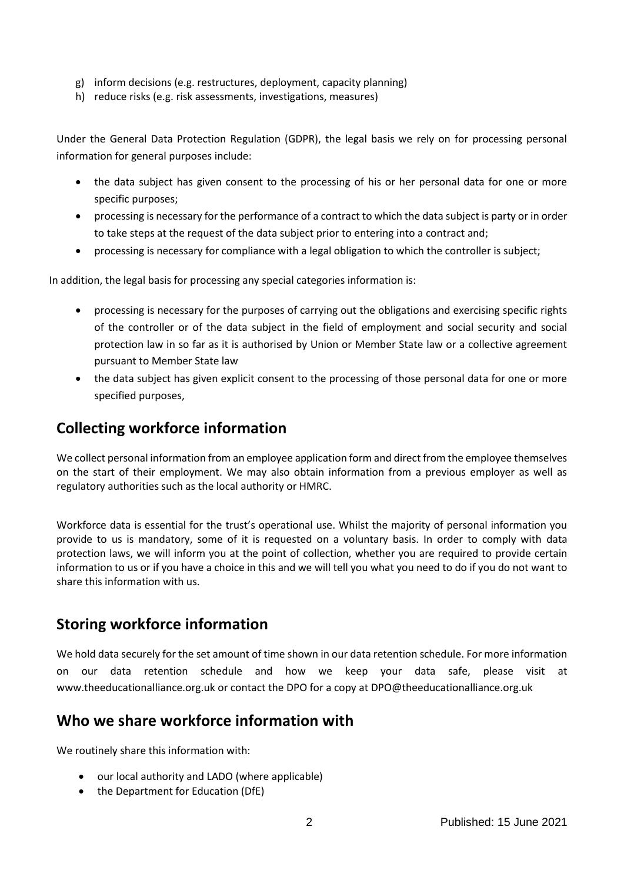- g) inform decisions (e.g. restructures, deployment, capacity planning)
- h) reduce risks (e.g. risk assessments, investigations, measures)

Under the General Data Protection Regulation (GDPR), the legal basis we rely on for processing personal information for general purposes include:

- the data subject has given consent to the processing of his or her personal data for one or more specific purposes;
- processing is necessary for the performance of a contract to which the data subject is party or in order to take steps at the request of the data subject prior to entering into a contract and;
- processing is necessary for compliance with a legal obligation to which the controller is subject;

In addition, the legal basis for processing any special categories information is:

- processing is necessary for the purposes of carrying out the obligations and exercising specific rights of the controller or of the data subject in the field of employment and social security and social protection law in so far as it is authorised by Union or Member State law or a collective agreement pursuant to Member State law
- the data subject has given explicit consent to the processing of those personal data for one or more specified purposes,

## **Collecting workforce information**

We collect personal information from an employee application form and direct from the employee themselves on the start of their employment. We may also obtain information from a previous employer as well as regulatory authorities such as the local authority or HMRC.

Workforce data is essential for the trust's operational use. Whilst the majority of personal information you provide to us is mandatory, some of it is requested on a voluntary basis. In order to comply with data protection laws, we will inform you at the point of collection, whether you are required to provide certain information to us or if you have a choice in this and we will tell you what you need to do if you do not want to share this information with us.

## **Storing workforce information**

We hold data securely for the set amount of time shown in our data retention schedule. For more information on our data retention schedule and how we keep your data safe, please visit at www.theeducationalliance.org.uk or contact the DPO for a copy at DPO@theeducationalliance.org.uk

#### **Who we share workforce information with**

We routinely share this information with:

- our local authority and LADO (where applicable)
- the Department for Education (DfE)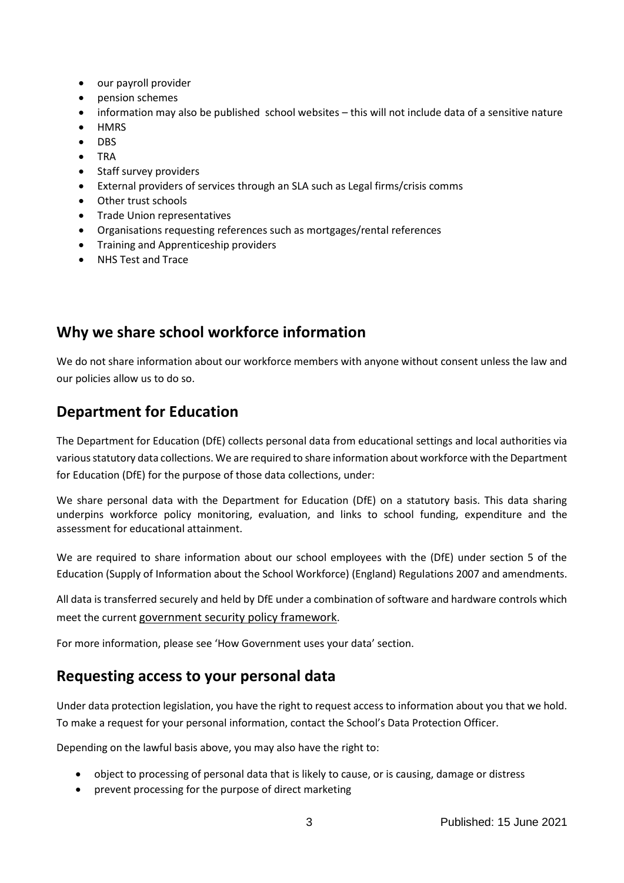- our payroll provider
- pension schemes
- information may also be published school websites this will not include data of a sensitive nature
- **HMRS**
- DBS
- TRA
- Staff survey providers
- External providers of services through an SLA such as Legal firms/crisis comms
- Other trust schools
- Trade Union representatives
- Organisations requesting references such as mortgages/rental references
- Training and Apprenticeship providers
- NHS Test and Trace

## **Why we share school workforce information**

We do not share information about our workforce members with anyone without consent unless the law and our policies allow us to do so.

## **Department for Education**

The Department for Education (DfE) collects personal data from educational settings and local authorities via various statutory data collections. We are required to share information about workforce with the Department for Education (DfE) for the purpose of those data collections, under:

We share personal data with the Department for Education (DfE) on a statutory basis. This data sharing underpins workforce policy monitoring, evaluation, and links to school funding, expenditure and the assessment for educational attainment.

We are required to share information about our school employees with the (DfE) under section 5 of the Education (Supply of Information about the School Workforce) (England) Regulations 2007 and amendments.

All data is transferred securely and held by DfE under a combination of software and hardware controls which meet the current [government security policy framework](https://www.gov.uk/government/publications/security-policy-framework).

For more information, please see 'How Government uses your data' section.

#### **Requesting access to your personal data**

Under data protection legislation, you have the right to request access to information about you that we hold. To make a request for your personal information, contact the School's Data Protection Officer.

Depending on the lawful basis above, you may also have the right to:

- object to processing of personal data that is likely to cause, or is causing, damage or distress
- prevent processing for the purpose of direct marketing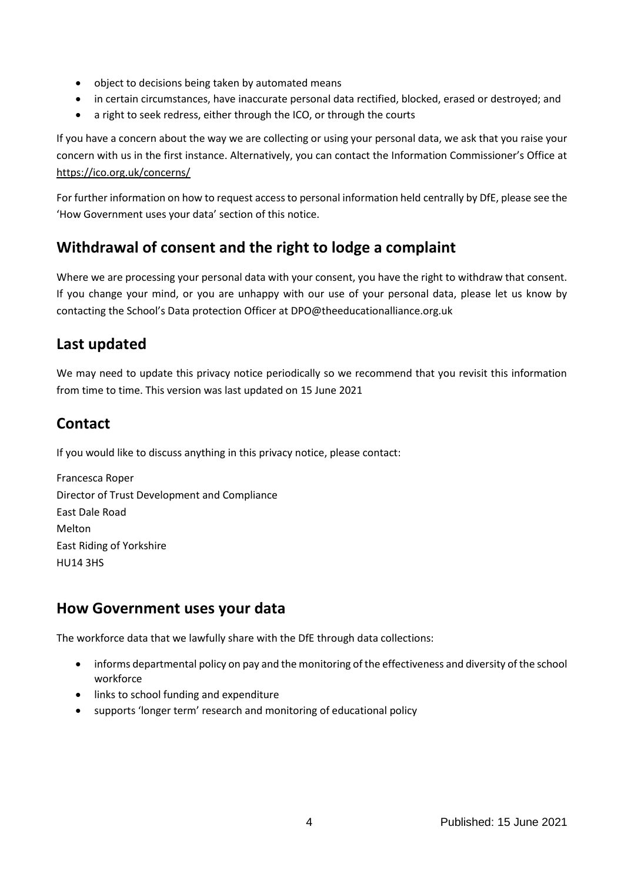- object to decisions being taken by automated means
- in certain circumstances, have inaccurate personal data rectified, blocked, erased or destroyed; and
- a right to seek redress, either through the ICO, or through the courts

If you have a concern about the way we are collecting or using your personal data, we ask that you raise your concern with us in the first instance. Alternatively, you can contact the Information Commissioner's Office at <https://ico.org.uk/concerns/>

For further information on how to request access to personal information held centrally by DfE, please see the 'How Government uses your data' section of this notice.

## **Withdrawal of consent and the right to lodge a complaint**

Where we are processing your personal data with your consent, you have the right to withdraw that consent. If you change your mind, or you are unhappy with our use of your personal data, please let us know by contacting the School's Data protection Officer at DPO@theeducationalliance.org.uk

## **Last updated**

We may need to update this privacy notice periodically so we recommend that you revisit this information from time to time. This version was last updated on 15 June 2021

## **Contact**

If you would like to discuss anything in this privacy notice, please contact:

Francesca Roper Director of Trust Development and Compliance East Dale Road Melton East Riding of Yorkshire HU14 3HS

#### **How Government uses your data**

The workforce data that we lawfully share with the DfE through data collections:

- informs departmental policy on pay and the monitoring of the effectiveness and diversity of the school workforce
- links to school funding and expenditure
- supports 'longer term' research and monitoring of educational policy